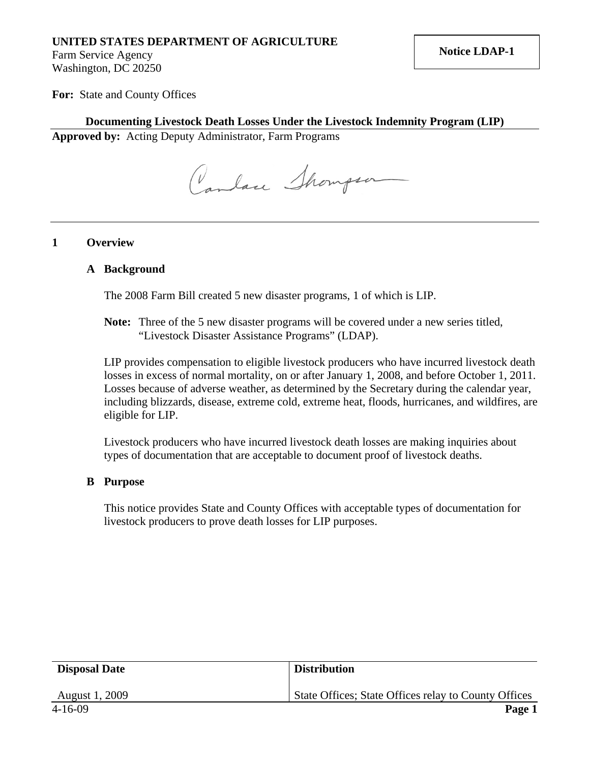# **UNITED STATES DEPARTMENT OF AGRICULTURE**

Farm Service Agency Washington, DC 20250

**For:** State and County Offices

### **Documenting Livestock Death Losses Under the Livestock Indemnity Program (LIP)**

**Approved by:** Acting Deputy Administrator, Farm Programs

Canlace Showpsor

#### **1 Overview**

#### **A Background**

The 2008 Farm Bill created 5 new disaster programs, 1 of which is LIP.

**Note:** Three of the 5 new disaster programs will be covered under a new series titled, "Livestock Disaster Assistance Programs" (LDAP).

LIP provides compensation to eligible livestock producers who have incurred livestock death losses in excess of normal mortality, on or after January 1, 2008, and before October 1, 2011. Losses because of adverse weather, as determined by the Secretary during the calendar year, including blizzards, disease, extreme cold, extreme heat, floods, hurricanes, and wildfires, are eligible for LIP.

Livestock producers who have incurred livestock death losses are making inquiries about types of documentation that are acceptable to document proof of livestock deaths.

### **B Purpose**

This notice provides State and County Offices with acceptable types of documentation for livestock producers to prove death losses for LIP purposes.

| <b>Disposal Date</b> | <b>Distribution</b>                                  |
|----------------------|------------------------------------------------------|
| August 1, 2009       | State Offices; State Offices relay to County Offices |
| 4-16-09              | Page 1                                               |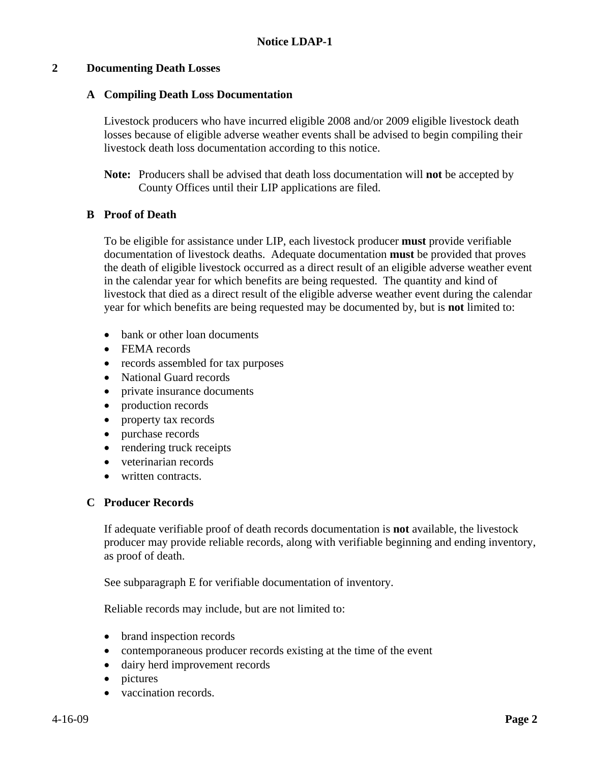# **2 Documenting Death Losses**

### **A Compiling Death Loss Documentation**

Livestock producers who have incurred eligible 2008 and/or 2009 eligible livestock death losses because of eligible adverse weather events shall be advised to begin compiling their livestock death loss documentation according to this notice.

**Note:** Producers shall be advised that death loss documentation will **not** be accepted by County Offices until their LIP applications are filed.

# **B Proof of Death**

To be eligible for assistance under LIP, each livestock producer **must** provide verifiable documentation of livestock deaths. Adequate documentation **must** be provided that proves the death of eligible livestock occurred as a direct result of an eligible adverse weather event in the calendar year for which benefits are being requested. The quantity and kind of livestock that died as a direct result of the eligible adverse weather event during the calendar year for which benefits are being requested may be documented by, but is **not** limited to:

- bank or other loan documents
- FEMA records
- records assembled for tax purposes
- National Guard records
- private insurance documents
- production records
- property tax records
- purchase records
- rendering truck receipts
- veterinarian records
- written contracts.

# **C Producer Records**

If adequate verifiable proof of death records documentation is **not** available, the livestock producer may provide reliable records, along with verifiable beginning and ending inventory, as proof of death.

See subparagraph E for verifiable documentation of inventory.

Reliable records may include, but are not limited to:

- brand inspection records
- contemporaneous producer records existing at the time of the event
- dairy herd improvement records
- pictures
- vaccination records.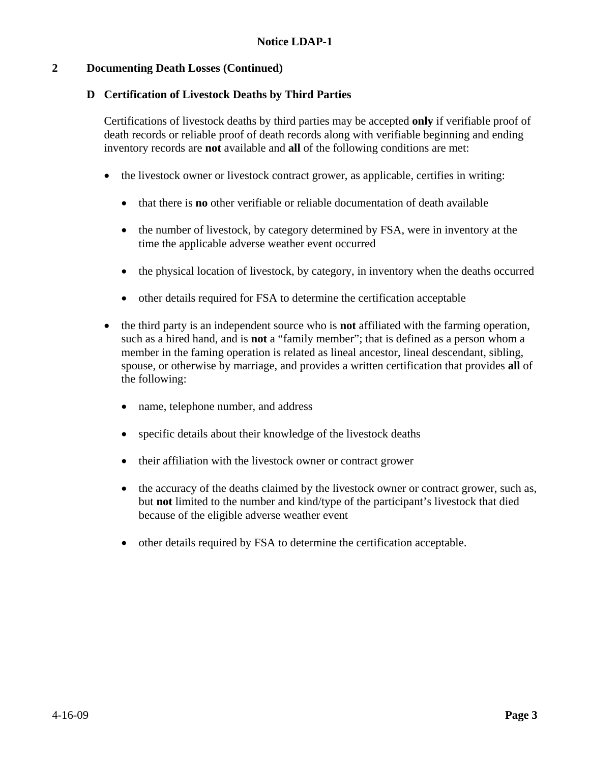# **2 Documenting Death Losses (Continued)**

# **D Certification of Livestock Deaths by Third Parties**

Certifications of livestock deaths by third parties may be accepted **only** if verifiable proof of death records or reliable proof of death records along with verifiable beginning and ending inventory records are **not** available and **all** of the following conditions are met:

- the livestock owner or livestock contract grower, as applicable, certifies in writing:
	- that there is **no** other verifiable or reliable documentation of death available
	- the number of livestock, by category determined by FSA, were in inventory at the time the applicable adverse weather event occurred
	- the physical location of livestock, by category, in inventory when the deaths occurred
	- other details required for FSA to determine the certification acceptable
- the third party is an independent source who is **not** affiliated with the farming operation, such as a hired hand, and is **not** a "family member"; that is defined as a person whom a member in the faming operation is related as lineal ancestor, lineal descendant, sibling, spouse, or otherwise by marriage, and provides a written certification that provides **all** of the following:
	- name, telephone number, and address
	- specific details about their knowledge of the livestock deaths
	- their affiliation with the livestock owner or contract grower
	- the accuracy of the deaths claimed by the livestock owner or contract grower, such as, but **not** limited to the number and kind/type of the participant's livestock that died because of the eligible adverse weather event
	- other details required by FSA to determine the certification acceptable.